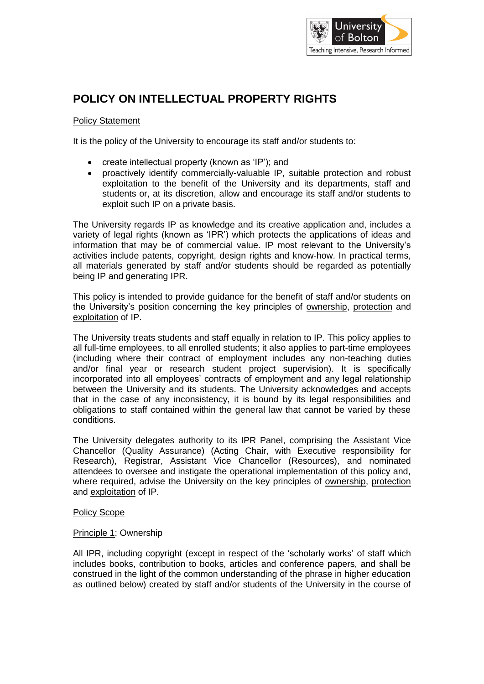

# **POLICY ON INTELLECTUAL PROPERTY RIGHTS**

# Policy Statement

It is the policy of the University to encourage its staff and/or students to:

- create intellectual property (known as 'IP'); and
- proactively identify commercially-valuable IP, suitable protection and robust exploitation to the benefit of the University and its departments, staff and students or, at its discretion, allow and encourage its staff and/or students to exploit such IP on a private basis.

The University regards IP as knowledge and its creative application and, includes a variety of legal rights (known as 'IPR') which protects the applications of ideas and information that may be of commercial value. IP most relevant to the University's activities include patents, copyright, design rights and know-how. In practical terms, all materials generated by staff and/or students should be regarded as potentially being IP and generating IPR.

This policy is intended to provide guidance for the benefit of staff and/or students on the University's position concerning the key principles of ownership, protection and exploitation of IP.

The University treats students and staff equally in relation to IP. This policy applies to all full-time employees, to all enrolled students; it also applies to part-time employees (including where their contract of employment includes any non-teaching duties and/or final year or research student project supervision). It is specifically incorporated into all employees' contracts of employment and any legal relationship between the University and its students. The University acknowledges and accepts that in the case of any inconsistency, it is bound by its legal responsibilities and obligations to staff contained within the general law that cannot be varied by these conditions.

The University delegates authority to its IPR Panel, comprising the Assistant Vice Chancellor (Quality Assurance) (Acting Chair, with Executive responsibility for Research), Registrar, Assistant Vice Chancellor (Resources), and nominated attendees to oversee and instigate the operational implementation of this policy and, where required, advise the University on the key principles of ownership, protection and exploitation of IP.

### Policy Scope

### Principle 1: Ownership

All IPR, including copyright (except in respect of the 'scholarly works' of staff which includes books, contribution to books, articles and conference papers, and shall be construed in the light of the common understanding of the phrase in higher education as outlined below) created by staff and/or students of the University in the course of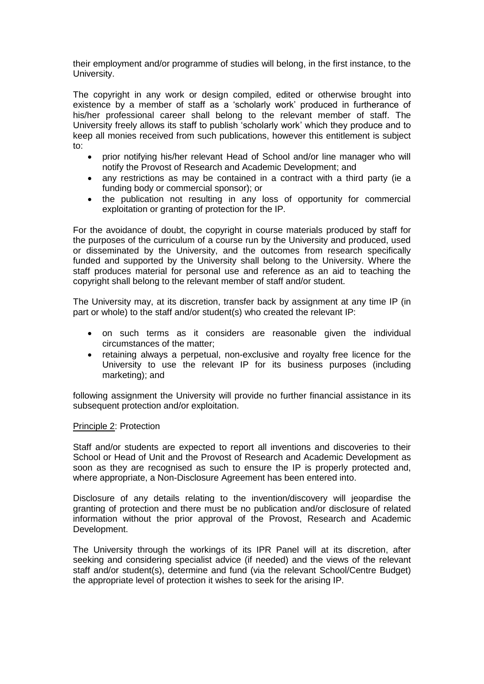their employment and/or programme of studies will belong, in the first instance, to the University.

The copyright in any work or design compiled, edited or otherwise brought into existence by a member of staff as a 'scholarly work' produced in furtherance of his/her professional career shall belong to the relevant member of staff. The University freely allows its staff to publish 'scholarly work' which they produce and to keep all monies received from such publications, however this entitlement is subject to:

- prior notifying his/her relevant Head of School and/or line manager who will notify the Provost of Research and Academic Development; and
- any restrictions as may be contained in a contract with a third party (ie a funding body or commercial sponsor); or
- the publication not resulting in any loss of opportunity for commercial exploitation or granting of protection for the IP.

For the avoidance of doubt, the copyright in course materials produced by staff for the purposes of the curriculum of a course run by the University and produced, used or disseminated by the University, and the outcomes from research specifically funded and supported by the University shall belong to the University. Where the staff produces material for personal use and reference as an aid to teaching the copyright shall belong to the relevant member of staff and/or student.

The University may, at its discretion, transfer back by assignment at any time IP (in part or whole) to the staff and/or student(s) who created the relevant IP:

- on such terms as it considers are reasonable given the individual circumstances of the matter;
- retaining always a perpetual, non-exclusive and royalty free licence for the University to use the relevant IP for its business purposes (including marketing); and

following assignment the University will provide no further financial assistance in its subsequent protection and/or exploitation.

### Principle 2: Protection

Staff and/or students are expected to report all inventions and discoveries to their School or Head of Unit and the Provost of Research and Academic Development as soon as they are recognised as such to ensure the IP is properly protected and, where appropriate, a Non-Disclosure Agreement has been entered into.

Disclosure of any details relating to the invention/discovery will jeopardise the granting of protection and there must be no publication and/or disclosure of related information without the prior approval of the Provost, Research and Academic Development.

The University through the workings of its IPR Panel will at its discretion, after seeking and considering specialist advice (if needed) and the views of the relevant staff and/or student(s), determine and fund (via the relevant School/Centre Budget) the appropriate level of protection it wishes to seek for the arising IP.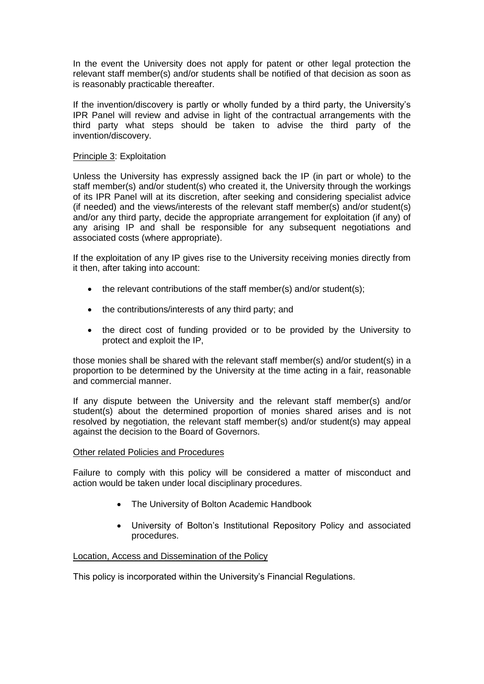In the event the University does not apply for patent or other legal protection the relevant staff member(s) and/or students shall be notified of that decision as soon as is reasonably practicable thereafter.

If the invention/discovery is partly or wholly funded by a third party, the University's IPR Panel will review and advise in light of the contractual arrangements with the third party what steps should be taken to advise the third party of the invention/discovery.

# Principle 3: Exploitation

Unless the University has expressly assigned back the IP (in part or whole) to the staff member(s) and/or student(s) who created it, the University through the workings of its IPR Panel will at its discretion, after seeking and considering specialist advice (if needed) and the views/interests of the relevant staff member(s) and/or student(s) and/or any third party, decide the appropriate arrangement for exploitation (if any) of any arising IP and shall be responsible for any subsequent negotiations and associated costs (where appropriate).

If the exploitation of any IP gives rise to the University receiving monies directly from it then, after taking into account:

- the relevant contributions of the staff member(s) and/or student(s);
- the contributions/interests of any third party; and
- the direct cost of funding provided or to be provided by the University to protect and exploit the IP,

those monies shall be shared with the relevant staff member(s) and/or student(s) in a proportion to be determined by the University at the time acting in a fair, reasonable and commercial manner.

If any dispute between the University and the relevant staff member(s) and/or student(s) about the determined proportion of monies shared arises and is not resolved by negotiation, the relevant staff member(s) and/or student(s) may appeal against the decision to the Board of Governors.

### Other related Policies and Procedures

Failure to comply with this policy will be considered a matter of misconduct and action would be taken under local disciplinary procedures.

- The University of Bolton Academic Handbook
- University of Bolton's Institutional Repository Policy and associated procedures.

### Location, Access and Dissemination of the Policy

This policy is incorporated within the University's Financial Regulations.